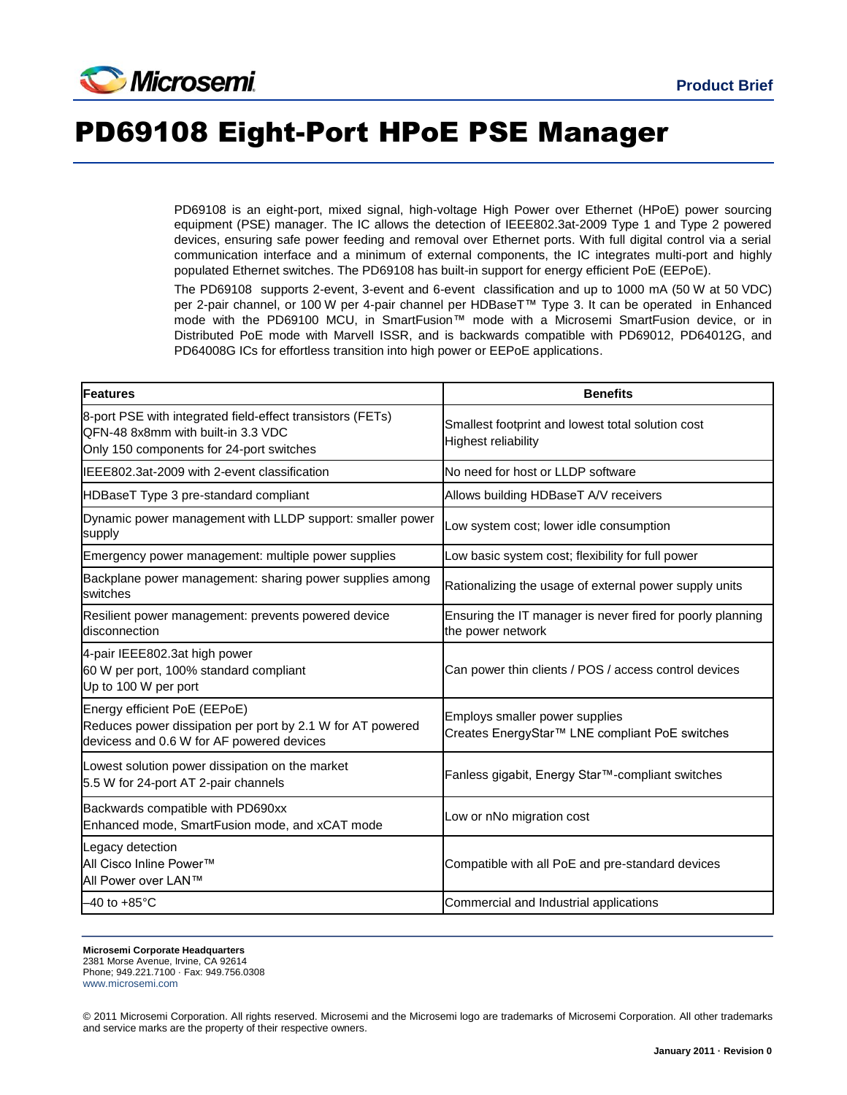

## PD69108 Eight-Port HPoE PSE Manager

PD69108 is an eight-port, mixed signal, high-voltage High Power over Ethernet (HPoE) power sourcing equipment (PSE) manager. The IC allows the detection of IEEE802.3at-2009 Type 1 and Type 2 powered devices, ensuring safe power feeding and removal over Ethernet ports. With full digital control via a serial communication interface and a minimum of external components, the IC integrates multi-port and highly populated Ethernet switches. The PD69108 has built-in support for energy efficient PoE (EEPoE).

The PD69108 supports 2-event, 3-event and 6-event classification and up to 1000 mA (50 W at 50 VDC) per 2-pair channel, or 100 W per 4-pair channel per HDBaseT™ Type 3. It can be operated in Enhanced mode with the PD69100 MCU, in SmartFusion™ mode with a Microsemi SmartFusion device, or in Distributed PoE mode with Marvell ISSR, and is backwards compatible with PD69012, PD64012G, and PD64008G ICs for effortless transition into high power or EEPoE applications.

| Features                                                                                                                                     | <b>Benefits</b>                                                                  |
|----------------------------------------------------------------------------------------------------------------------------------------------|----------------------------------------------------------------------------------|
| 8-port PSE with integrated field-effect transistors (FETs)<br>QFN-48 8x8mm with built-in 3.3 VDC<br>Only 150 components for 24-port switches | Smallest footprint and lowest total solution cost<br><b>Highest reliability</b>  |
| IEEE802.3at-2009 with 2-event classification                                                                                                 | No need for host or LLDP software                                                |
| HDBaseT Type 3 pre-standard compliant                                                                                                        | Allows building HDBaseT A/V receivers                                            |
| Dynamic power management with LLDP support: smaller power<br>supply                                                                          | Low system cost; lower idle consumption                                          |
| Emergency power management: multiple power supplies                                                                                          | Low basic system cost; flexibility for full power                                |
| Backplane power management: sharing power supplies among<br>switches                                                                         | Rationalizing the usage of external power supply units                           |
| Resilient power management: prevents powered device<br>disconnection                                                                         | Ensuring the IT manager is never fired for poorly planning<br>the power network  |
| 4-pair IEEE802.3at high power<br>60 W per port, 100% standard compliant<br>Up to 100 W per port                                              | Can power thin clients / POS / access control devices                            |
| Energy efficient PoE (EEPoE)<br>Reduces power dissipation per port by 2.1 W for AT powered<br>devicess and 0.6 W for AF powered devices      | Employs smaller power supplies<br>Creates EnergyStar™ LNE compliant PoE switches |
| Lowest solution power dissipation on the market<br>5.5 W for 24-port AT 2-pair channels                                                      | Fanless gigabit, Energy Star™-compliant switches                                 |
| Backwards compatible with PD690xx<br>Enhanced mode, SmartFusion mode, and xCAT mode                                                          | Low or nNo migration cost                                                        |
| Legacy detection<br>All Cisco Inline Power™<br>All Power over LAN™                                                                           | Compatible with all PoE and pre-standard devices                                 |
| $-40$ to $+85^{\circ}$ C                                                                                                                     | Commercial and Industrial applications                                           |

**Microsemi Corporate Headquarters** 2381 Morse Avenue, Irvine, CA 92614 Phone; 949.221.7100 · Fax: 949.756.0308 [www.microsemi.com](http://www.microsemi.com/)

© 2011 Microsemi Corporation. All rights reserved. Microsemi and the Microsemi logo are trademarks of Microsemi Corporation. All other trademarks and service marks are the property of their respective owners.